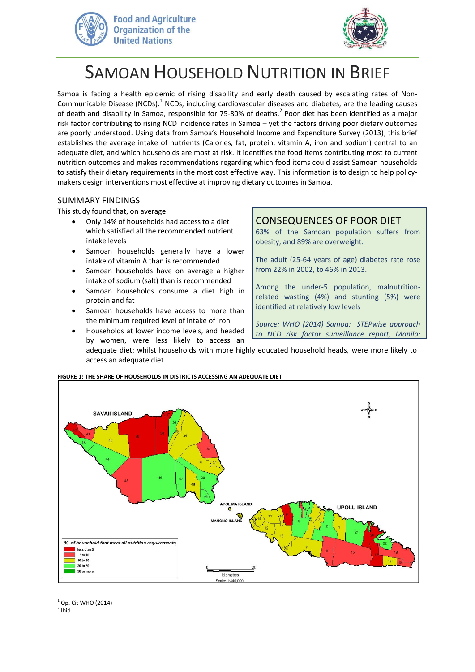



# SAMOAN HOUSEHOLD NUTRITION IN BRIEF

Samoa is facing a health epidemic of rising disability and early death caused by escalating rates of Non-Communicable Disease (NCDs).<sup>1</sup> NCDs, including cardiovascular diseases and diabetes, are the leading causes of death and disability in Samoa, responsible for 75-80% of deaths.<sup>2</sup> Poor diet has been identified as a major risk factor contributing to rising NCD incidence rates in Samoa – yet the factors driving poor dietary outcomes are poorly understood. Using data from Samoa's Household Income and Expenditure Survey (2013), this brief establishes the average intake of nutrients (Calories, fat, protein, vitamin A, iron and sodium) central to an adequate diet, and which households are most at risk. It identifies the food items contributing most to current nutrition outcomes and makes recommendations regarding which food items could assist Samoan households to satisfy their dietary requirements in the most cost effective way. This information is to design to help policymakers design interventions most effective at improving dietary outcomes in Samoa.

## SUMMARY FINDINGS

This study found that, on average:

- Only 14% of households had access to a diet which satisfied all the recommended nutrient intake levels
- Samoan households generally have a lower intake of vitamin A than is recommended
- Samoan households have on average a higher intake of sodium (salt) than is recommended
- Samoan households consume a diet high in protein and fat
- Samoan households have access to more than the minimum required level of intake of iron
- Households at lower income levels, and headed

by women, were less likely to access an

# CONSEQUENCES OF POOR DIET

63% of the Samoan population suffers from obesity, and 89% are overweight.

The adult (25-64 years of age) diabetes rate rose from 22% in 2002, to 46% in 2013.

Among the under-5 population, malnutritionrelated wasting (4%) and stunting (5%) were identified at relatively low levels

*Source: WHO (2014) Samoa: STEPwise approach to NCD risk factor surveillance report, Manila:* 

adequate diet; whilst households with more highly educated household heads, were more likely to access an adequate diet *WHO*



#### **FIGURE 1: THE SHARE OF HOUSEHOLDS IN DISTRICTS ACCESSING AN ADEQUATE DIET**

 $1$  Op. Cit WHO (2014)

 $2$  Ibid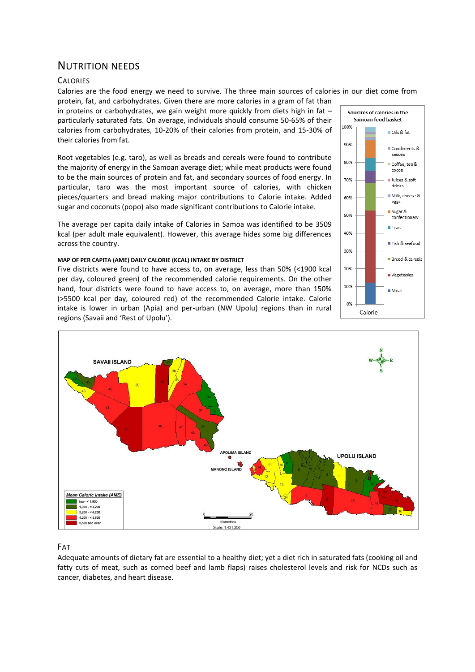# NUTRITION NEEDS

#### **CALORIES**

Calories are the food energy we need to survive. The three main sources of calories in our diet come from protein, fat, and carbohydrates. Given there are more calories in a gram of fat than

in proteins or carbohydrates, we gain weight more quickly from diets high in fat  $$ particularly saturated fats. On average, individuals should consume 50-65% of their calories from carbohydrates, 10-20% of their calories from protein, and 15-30% of their calories from fat.

Root vegetables (e.g. taro), as well as breads and cereals were found to contribute the majority of energy in the Samoan average diet; while meat products were found to be the main sources of protein and fat, and secondary sources of food energy. In particular, taro was the most important source of calories, with chicken pieces/quarters and bread making major contributions to Calorie intake. Added sugar and coconuts (popo) also made significant contributions to Calorie intake.

The average per capita daily intake of Calories in Samoa was identified to be 3509 kcal (per adult male equivalent). However, this average hides some big differences across the country.

#### **MAP OF PER CAPITA (AME) DAILY CALORIE (KCAL) INTAKE BY DISTRICT**

Five districts were found to have access to, on average, less than 50% (<1900 kcal per day, coloured green) of the recommended calorie requirements. On the other hand, four districts were found to have access to, on average, more than 150% (>5500 kcal per day, coloured red) of the recommended Calorie intake. Calorie intake is lower in urban (Apia) and per-urban (NW Upolu) regions than in rural regions (Savaii and 'Rest of Upolu').





## FAT

Adequate amounts of dietary fat are essential to a healthy diet; yet a diet rich in saturated fats (cooking oil and fatty cuts of meat, such as corned beef and lamb flaps) raises cholesterol levels and risk for NCDs such as cancer, diabetes, and heart disease.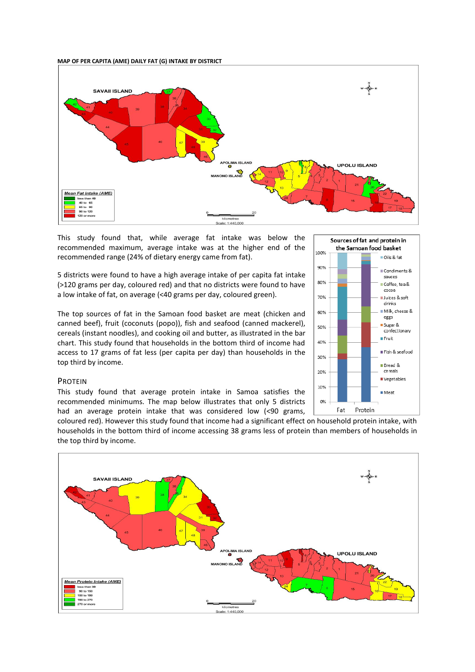**MAP OF PER CAPITA (AME) DAILY FAT (G) INTAKE BY DISTRICT**



This study found that, while average fat intake was below the recommended maximum, average intake was at the higher end of the recommended range (24% of dietary energy came from fat).

5 districts were found to have a high average intake of per capita fat intake (>120 grams per day, coloured red) and that no districts were found to have a low intake of fat, on average (<40 grams per day, coloured green).

The top sources of fat in the Samoan food basket are meat (chicken and canned beef), fruit (coconuts (popo)), fish and seafood (canned mackerel), cereals (instant noodles), and cooking oil and butter, as illustrated in the bar chart. This study found that households in the bottom third of income had access to 17 grams of fat less (per capita per day) than households in the top third by income.

#### PROTEIN

This study found that average protein intake in Samoa satisfies the recommended minimums. The map below illustrates that only 5 districts had an average protein intake that was considered low (<90 grams,

coloured red). However this study found that income had a significant effect on household protein intake, with households in the bottom third of income accessing 38 grams less of protein than members of households in the top third by income.



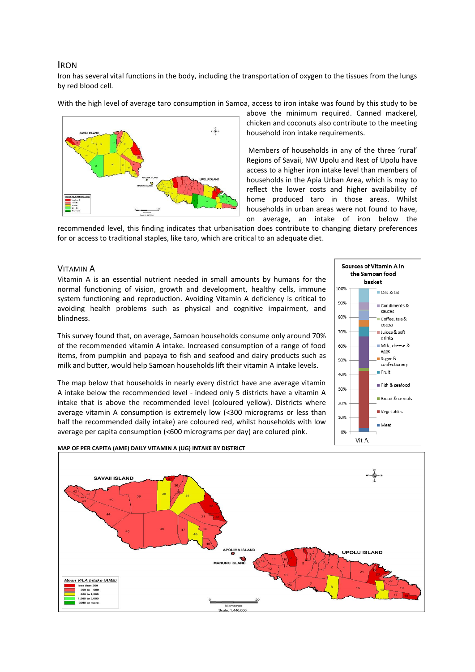## IRON

Iron has several vital functions in the body, including the transportation of oxygen to the tissues from the lungs by red blood cell.

With the high level of average taro consumption in Samoa, access to iron intake was found by this study to be



above the minimum required. Canned mackerel, chicken and coconuts also contribute to the meeting household iron intake requirements.

Members of households in any of the three 'rural' Regions of Savaii, NW Upolu and Rest of Upolu have access to a higher iron intake level than members of households in the Apia Urban Area, which is may to reflect the lower costs and higher availability of home produced taro in those areas. Whilst households in urban areas were not found to have, on average, an intake of iron below the

recommended level, this finding indicates that urbanisation does contribute to changing dietary preferences for or access to traditional staples, like taro, which are critical to an adequate diet.

## VITAMIN A

Vitamin A is an essential nutrient needed in small amounts by humans for the normal functioning of vision, growth and development, healthy cells, immune system functioning and reproduction. Avoiding Vitamin A deficiency is critical to avoiding health problems such as physical and cognitive impairment, and blindness.

This survey found that, on average, Samoan households consume only around 70% of the recommended vitamin A intake. Increased consumption of a range of food items, from pumpkin and papaya to fish and seafood and dairy products such as milk and butter, would help Samoan households lift their vitamin A intake levels.

The map below that households in nearly every district have ane average vitamin A intake below the recommended level - indeed only 5 districts have a vitamin A intake that is above the recommended level (coloured yellow). Districts where average vitamin A consumption is extremely low (<300 micrograms or less than half the recommended daily intake) are coloured red, whilst households with low average per capita consumption (<600 micrograms per day) are colured pink.





#### **MAP OF PER CAPITA (AME) DAILY VITAMIN A (UG) INTAKE BY DISTRICT**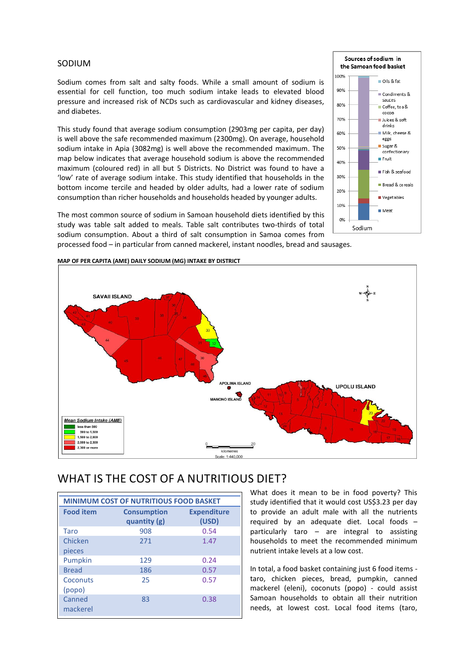## SODIUM

Sodium comes from salt and salty foods. While a small amount of sodium is essential for cell function, too much sodium intake leads to elevated blood pressure and increased risk of NCDs such as cardiovascular and kidney diseases, and diabetes.

This study found that average sodium consumption (2903mg per capita, per day) is well above the safe recommended maximum (2300mg). On average, household sodium intake in Apia (3082mg) is well above the recommended maximum. The map below indicates that average household sodium is above the recommended maximum (coloured red) in all but 5 Districts. No District was found to have a 'low' rate of average sodium intake. This study identified that households in the bottom income tercile and headed by older adults, had a lower rate of sodium consumption than richer households and households headed by younger adults.

The most common source of sodium in Samoan household diets identified by this study was table salt added to meals. Table salt contributes two-thirds of total sodium consumption. About a third of salt consumption in Samoa comes from processed food – in particular from canned mackerel, instant noodles, bread and sausages.



#### **MAP OF PER CAPITA (AME) DAILY SODIUM (MG) INTAKE BY DISTRICT**

# WHAT IS THE COST OF A NUTRITIOUS DIET?

| <b>MINIMUM COST OF NUTRITIOUS FOOD BASKET</b> |                    |                    |
|-----------------------------------------------|--------------------|--------------------|
| <b>Food item</b>                              | <b>Consumption</b> | <b>Expenditure</b> |
|                                               | quantity (g)       | (USD)              |
| Taro                                          | 908                | 0.54               |
| Chicken                                       | 271                | 1.47               |
| pieces                                        |                    |                    |
| Pumpkin                                       | 129                | 0.24               |
| <b>Bread</b>                                  | 186                | 0.57               |
| Coconuts                                      | 25                 | 0.57               |
| (popo)                                        |                    |                    |
| Canned                                        | 83                 | 0.38               |
| mackerel                                      |                    |                    |
|                                               |                    |                    |

What does it mean to be in food poverty? This study identified that it would cost US\$3.23 per day to provide an adult male with all the nutrients required by an adequate diet. Local foods – particularly taro – are integral to assisting households to meet the recommended minimum nutrient intake levels at a low cost.

Sources of sodium in the Samoan food basket

 $\blacksquare$  Oils & fat

—<br>■ Condiments & sauces

Coffee, tea& cocoa

Juices & soft Mik, cheese &

confectionary **Fruit** 

Fish & seafood

Bread & cereals

Vegetables

■ Meat

eggs Sugar &

100%

90%

 $80%$ 

70%

60%

50%

40%

30%

20%

10%

0%

Sodium

In total, a food basket containing just 6 food items taro, chicken pieces, bread, pumpkin, canned mackerel (eleni), coconuts (popo) - could assist Samoan households to obtain all their nutrition needs, at lowest cost. Local food items (taro,